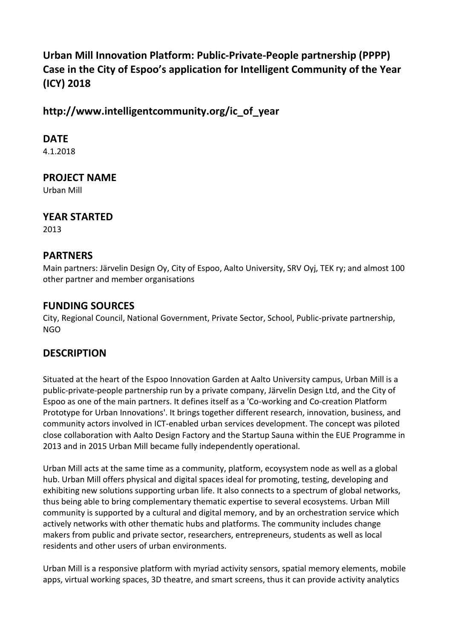# **Urban Mill Innovation Platform: Public-Private-People partnership (PPPP) Case in the City of Espoo's application for Intelligent Community of the Year (ICY) 2018**

**http://www.intelligentcommunity.org/ic\_of\_year**

**DATE**

4.1.2018

**PROJECT NAME**

Urban Mill

**YEAR STARTED**

2013

### **PARTNERS**

Main partners: Järvelin Design Oy, City of Espoo, Aalto University, SRV Oyj, TEK ry; and almost 100 other partner and member organisations

### **FUNDING SOURCES**

City, Regional Council, National Government, Private Sector, School, Public-private partnership, NGO

# **DESCRIPTION**

Situated at the heart of the Espoo Innovation Garden at Aalto University campus, Urban Mill is a public-private-people partnership run by a private company, Järvelin Design Ltd, and the City of Espoo as one of the main partners. It defines itself as a 'Co-working and Co-creation Platform Prototype for Urban Innovations'. It brings together different research, innovation, business, and community actors involved in ICT-enabled urban services development. The concept was piloted close collaboration with Aalto Design Factory and the Startup Sauna within the EUE Programme in 2013 and in 2015 Urban Mill became fully independently operational.

Urban Mill acts at the same time as a community, platform, ecoysystem node as well as a global hub. Urban Mill offers physical and digital spaces ideal for promoting, testing, developing and exhibiting new solutions supporting urban life. It also connects to a spectrum of global networks, thus being able to bring complementary thematic expertise to several ecosystems. Urban Mill community is supported by a cultural and digital memory, and by an orchestration service which actively networks with other thematic hubs and platforms. The community includes change makers from public and private sector, researchers, entrepreneurs, students as well as local residents and other users of urban environments.

Urban Mill is a responsive platform with myriad activity sensors, spatial memory elements, mobile apps, virtual working spaces, 3D theatre, and smart screens, thus it can provide activity analytics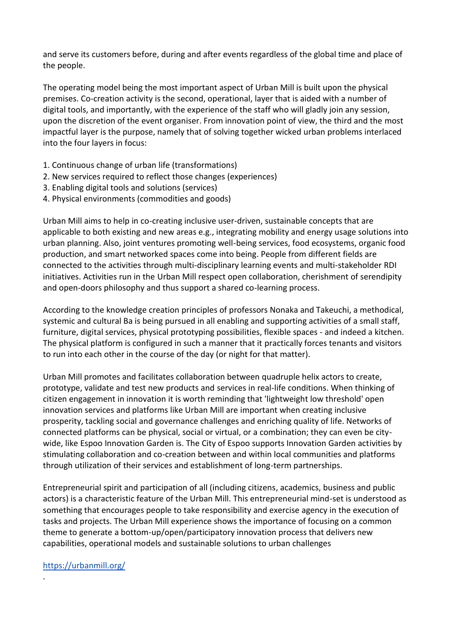and serve its customers before, during and after events regardless of the global time and place of the people.

The operating model being the most important aspect of Urban Mill is built upon the physical premises. Co-creation activity is the second, operational, layer that is aided with a number of digital tools, and importantly, with the experience of the staff who will gladly join any session, upon the discretion of the event organiser. From innovation point of view, the third and the most impactful layer is the purpose, namely that of solving together wicked urban problems interlaced into the four layers in focus:

- 1. Continuous change of urban life (transformations)
- 2. New services required to reflect those changes (experiences)
- 3. Enabling digital tools and solutions (services)
- 4. Physical environments (commodities and goods)

Urban Mill aims to help in co-creating inclusive user-driven, sustainable concepts that are applicable to both existing and new areas e.g., integrating mobility and energy usage solutions into urban planning. Also, joint ventures promoting well-being services, food ecosystems, organic food production, and smart networked spaces come into being. People from different fields are connected to the activities through multi-disciplinary learning events and multi-stakeholder RDI initiatives. Activities run in the Urban Mill respect open collaboration, cherishment of serendipity and open-doors philosophy and thus support a shared co-learning process.

According to the knowledge creation principles of professors Nonaka and Takeuchi, a methodical, systemic and cultural Ba is being pursued in all enabling and supporting activities of a small staff, furniture, digital services, physical prototyping possibilities, flexible spaces - and indeed a kitchen. The physical platform is configured in such a manner that it practically forces tenants and visitors to run into each other in the course of the day (or night for that matter).

Urban Mill promotes and facilitates collaboration between quadruple helix actors to create, prototype, validate and test new products and services in real-life conditions. When thinking of citizen engagement in innovation it is worth reminding that 'lightweight low threshold' open innovation services and platforms like Urban Mill are important when creating inclusive prosperity, tackling social and governance challenges and enriching quality of life. Networks of connected platforms can be physical, social or virtual, or a combination; they can even be citywide, like Espoo Innovation Garden is. The City of Espoo supports Innovation Garden activities by stimulating collaboration and co-creation between and within local communities and platforms through utilization of their services and establishment of long-term partnerships.

Entrepreneurial spirit and participation of all (including citizens, academics, business and public actors) is a characteristic feature of the Urban Mill. This entrepreneurial mind-set is understood as something that encourages people to take responsibility and exercise agency in the execution of tasks and projects. The Urban Mill experience shows the importance of focusing on a common theme to generate a bottom-up/open/participatory innovation process that delivers new capabilities, operational models and sustainable solutions to urban challenges

#### <https://urbanmill.org/>

.